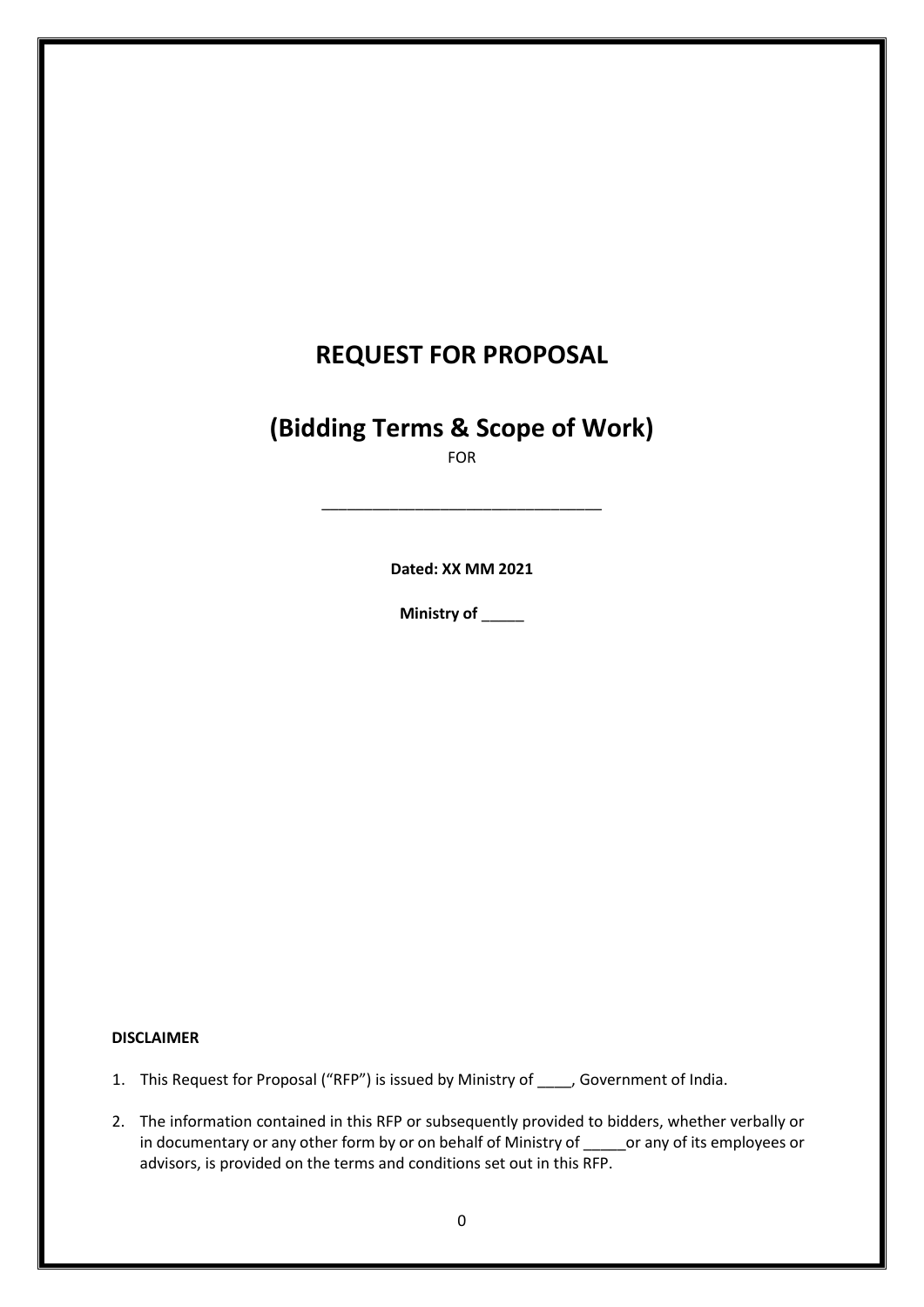# **REQUEST FOR PROPOSAL**

# **(Bidding Terms & Scope of Work)**

FOR

\_\_\_\_\_\_\_\_\_\_\_\_\_\_\_\_\_\_\_\_\_\_\_\_\_\_\_\_\_\_\_\_\_

**Dated: XX MM 2021**

**Ministry of** \_\_\_\_\_

#### **DISCLAIMER**

- 1. This Request for Proposal ("RFP") is issued by Ministry of \_\_\_\_, Government of India.
- 2. The information contained in this RFP or subsequently provided to bidders, whether verbally or in documentary or any other form by or on behalf of Ministry of \_\_\_\_\_\_ or any of its employees or advisors, is provided on the terms and conditions set out in this RFP.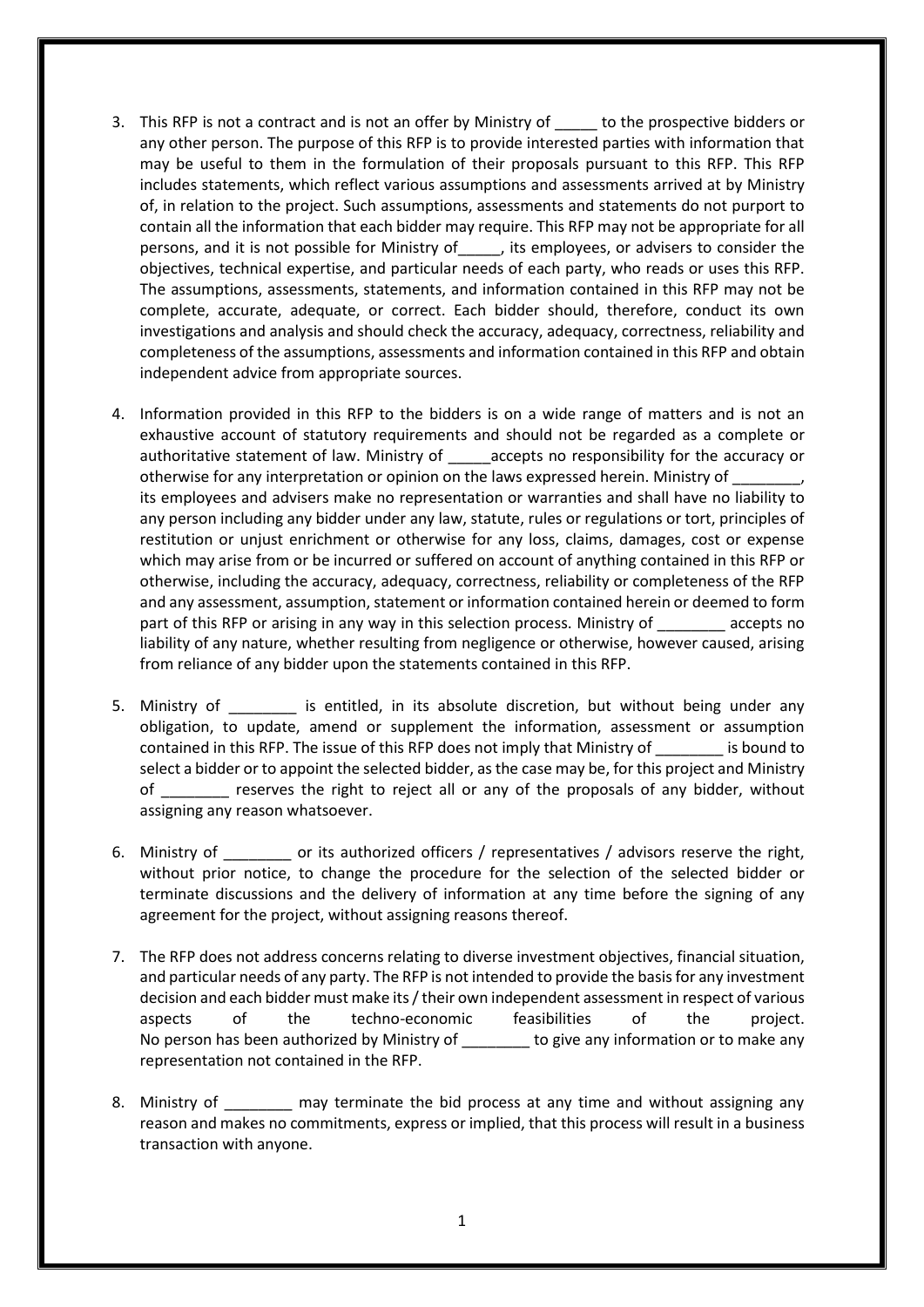- 3. This RFP is not a contract and is not an offer by Ministry of \_\_\_\_\_ to the prospective bidders or any other person. The purpose of this RFP is to provide interested parties with information that may be useful to them in the formulation of their proposals pursuant to this RFP. This RFP includes statements, which reflect various assumptions and assessments arrived at by Ministry of, in relation to the project. Such assumptions, assessments and statements do not purport to contain all the information that each bidder may require. This RFP may not be appropriate for all persons, and it is not possible for Ministry of\_\_\_\_\_, its employees, or advisers to consider the objectives, technical expertise, and particular needs of each party, who reads or uses this RFP. The assumptions, assessments, statements, and information contained in this RFP may not be complete, accurate, adequate, or correct. Each bidder should, therefore, conduct its own investigations and analysis and should check the accuracy, adequacy, correctness, reliability and completeness of the assumptions, assessments and information contained in this RFP and obtain independent advice from appropriate sources.
- 4. Information provided in this RFP to the bidders is on a wide range of matters and is not an exhaustive account of statutory requirements and should not be regarded as a complete or authoritative statement of law. Ministry of accepts no responsibility for the accuracy or otherwise for any interpretation or opinion on the laws expressed herein. Ministry of its employees and advisers make no representation or warranties and shall have no liability to any person including any bidder under any law, statute, rules or regulations or tort, principles of restitution or unjust enrichment or otherwise for any loss, claims, damages, cost or expense which may arise from or be incurred or suffered on account of anything contained in this RFP or otherwise, including the accuracy, adequacy, correctness, reliability or completeness of the RFP and any assessment, assumption, statement or information contained herein or deemed to form part of this RFP or arising in any way in this selection process. Ministry of accepts no liability of any nature, whether resulting from negligence or otherwise, however caused, arising from reliance of any bidder upon the statements contained in this RFP.
- 5. Ministry of \_\_\_\_\_\_\_\_\_ is entitled, in its absolute discretion, but without being under any obligation, to update, amend or supplement the information, assessment or assumption contained in this RFP. The issue of this RFP does not imply that Ministry of is bound to select a bidder or to appoint the selected bidder, as the case may be, for this project and Ministry of eserves the right to reject all or any of the proposals of any bidder, without assigning any reason whatsoever.
- 6. Ministry of or its authorized officers / representatives / advisors reserve the right, without prior notice, to change the procedure for the selection of the selected bidder or terminate discussions and the delivery of information at any time before the signing of any agreement for the project, without assigning reasons thereof.
- 7. The RFP does not address concerns relating to diverse investment objectives, financial situation, and particular needs of any party. The RFP is not intended to provide the basis for any investment decision and each bidder must make its / their own independent assessment in respect of various aspects of the techno-economic feasibilities of the project. No person has been authorized by Ministry of the give any information or to make any representation not contained in the RFP.
- 8. Ministry of The may terminate the bid process at any time and without assigning any reason and makes no commitments, express or implied, that this process will result in a business transaction with anyone.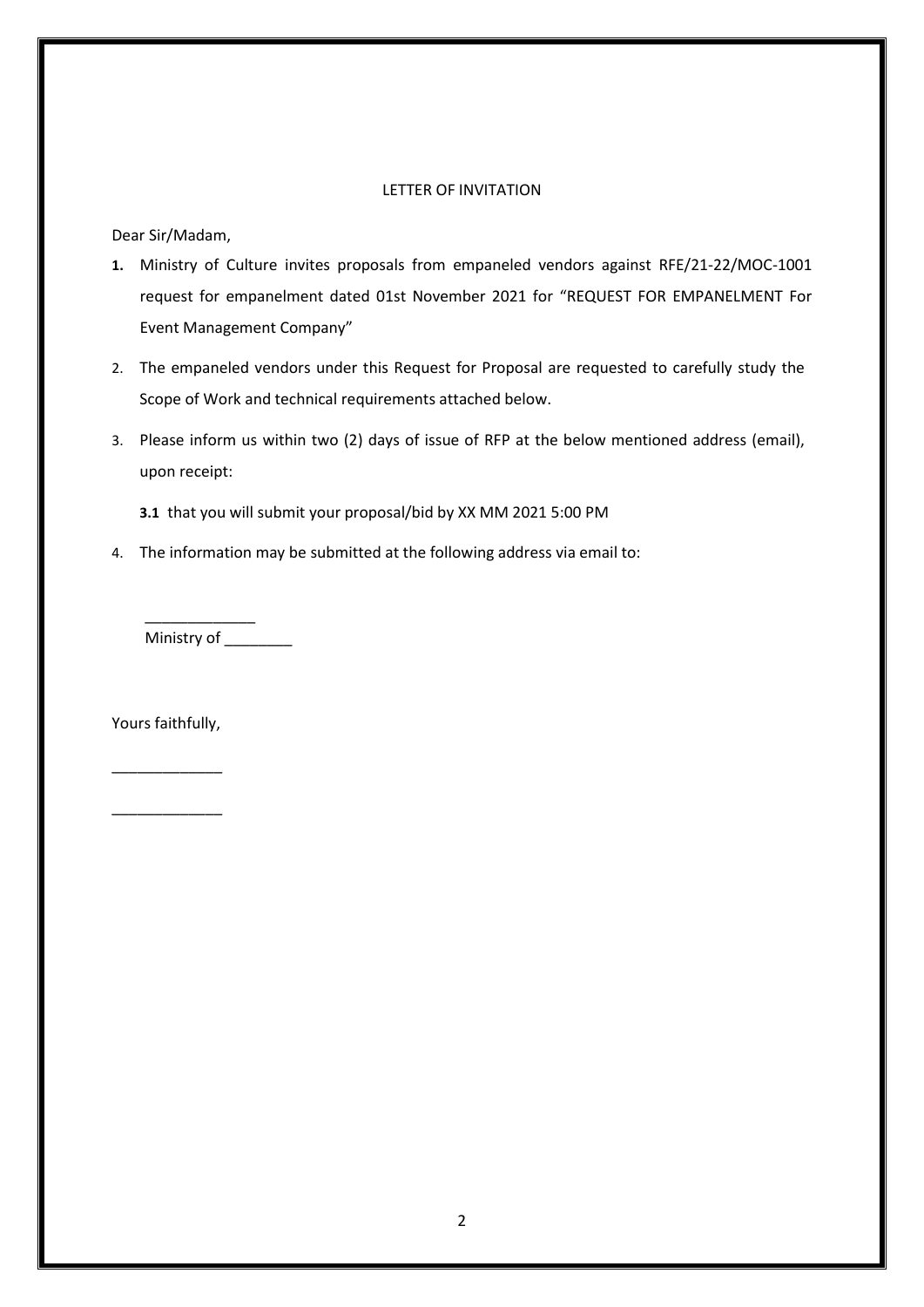## LETTER OF INVITATION

Dear Sir/Madam,

- **1.** Ministry of Culture invites proposals from empaneled vendors against RFE/21-22/MOC-1001 request for empanelment dated 01st November 2021 for "REQUEST FOR EMPANELMENT For Event Management Company"
- 2. The empaneled vendors under this Request for Proposal are requested to carefully study the Scope of Work and technical requirements attached below.
- 3. Please inform us within two (2) days of issue of RFP at the below mentioned address (email), upon receipt:
	- **3.1** that you will submit your proposal/bid by XX MM 2021 5:00 PM
- 4. The information may be submitted at the following address via email to:

Ministry of \_\_\_\_\_\_\_\_\_

\_\_\_\_\_\_\_\_\_\_\_\_\_

Yours faithfully,

\_\_\_\_\_\_\_\_\_\_\_\_\_

\_\_\_\_\_\_\_\_\_\_\_\_\_

2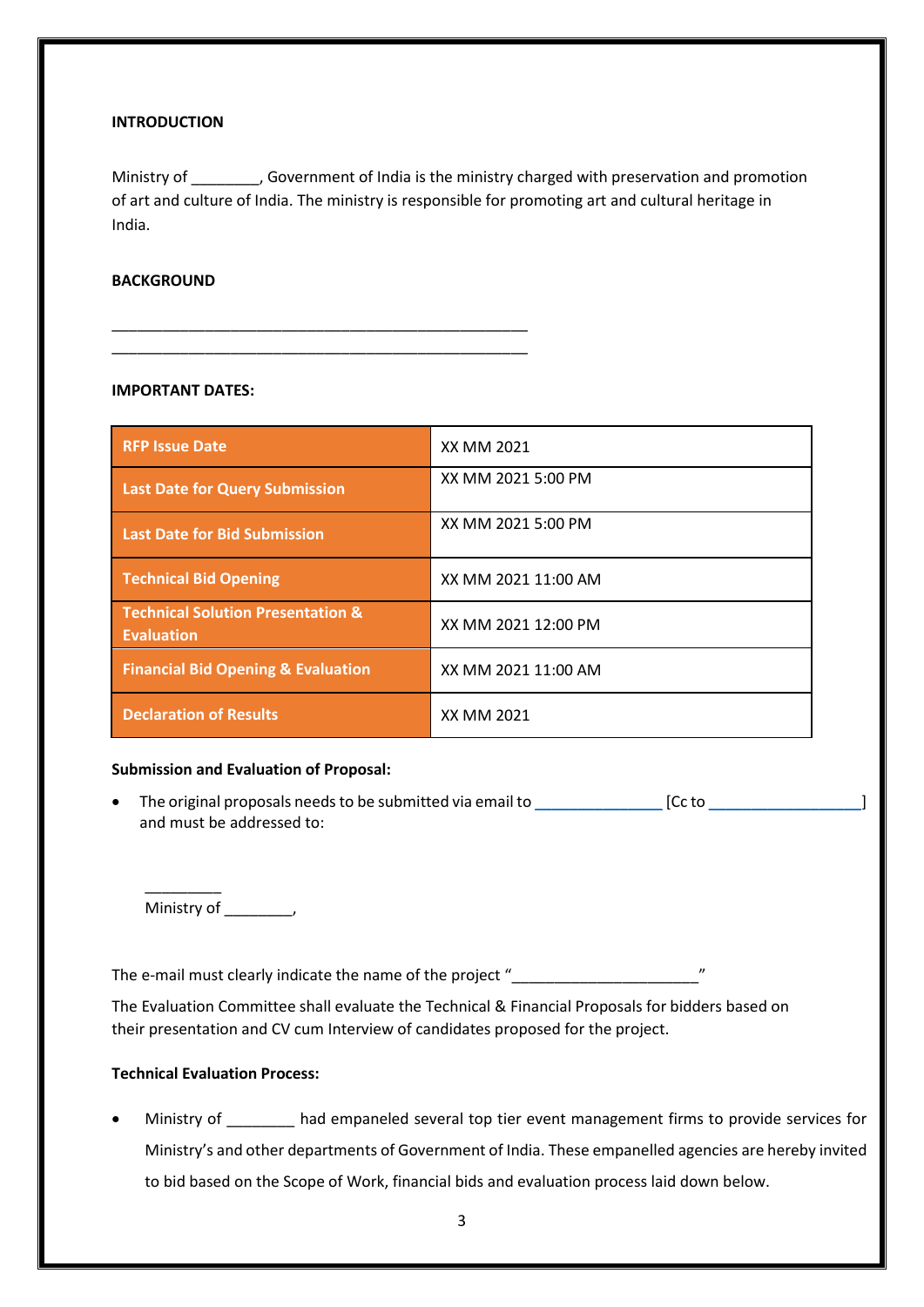#### **INTRODUCTION**

Ministry of \_\_\_\_\_\_\_, Government of India is the ministry charged with preservation and promotion of art and culture of India. The ministry is responsible for promoting art and cultural heritage in India.

### **BACKGROUND**

#### **IMPORTANT DATES:**

\_\_\_\_\_\_\_\_\_\_\_\_\_\_\_\_\_\_\_\_\_\_\_\_\_\_\_\_\_\_\_\_\_\_\_\_\_\_\_\_\_\_\_\_\_\_\_\_\_ \_\_\_\_\_\_\_\_\_\_\_\_\_\_\_\_\_\_\_\_\_\_\_\_\_\_\_\_\_\_\_\_\_\_\_\_\_\_\_\_\_\_\_\_\_\_\_\_\_

| <b>RFP Issue Date</b>                                             | XX MM 2021          |
|-------------------------------------------------------------------|---------------------|
| <b>Last Date for Query Submission</b>                             | XX MM 2021 5:00 PM  |
| <b>Last Date for Bid Submission</b>                               | XX MM 2021 5:00 PM  |
| <b>Technical Bid Opening</b>                                      | XX MM 2021 11:00 AM |
| <b>Technical Solution Presentation &amp;</b><br><b>Evaluation</b> | XX MM 2021 12:00 PM |
| <b>Financial Bid Opening &amp; Evaluation</b>                     | XX MM 2021 11:00 AM |
| <b>Declaration of Results</b>                                     | XX MM 2021          |

#### **Submission and Evaluation of Proposal:**

• The original proposals needs to be submitted via email t[o \\_\\_\\_\\_\\_\\_\\_\\_\\_\\_\\_\\_\\_\\_\\_](mailto:_______________)\_\_\_\_\_ [Cc to \_\_\_\_\_\_\_\_\_\_\_\_\_\_\_\_\_\_\_\_\_] and must be addressed to:

Ministry of \_\_\_\_\_\_\_\_,

\_\_\_\_\_\_\_\_\_

The e-mail must clearly indicate the name of the project "

The Evaluation Committee shall evaluate the Technical & Financial Proposals for bidders based on their presentation and CV cum Interview of candidates proposed for the project.

## **Technical Evaluation Process:**

Ministry of had empaneled several top tier event management firms to provide services for Ministry's and other departments of Government of India. These empanelled agencies are hereby invited to bid based on the Scope of Work, financial bids and evaluation process laid down below.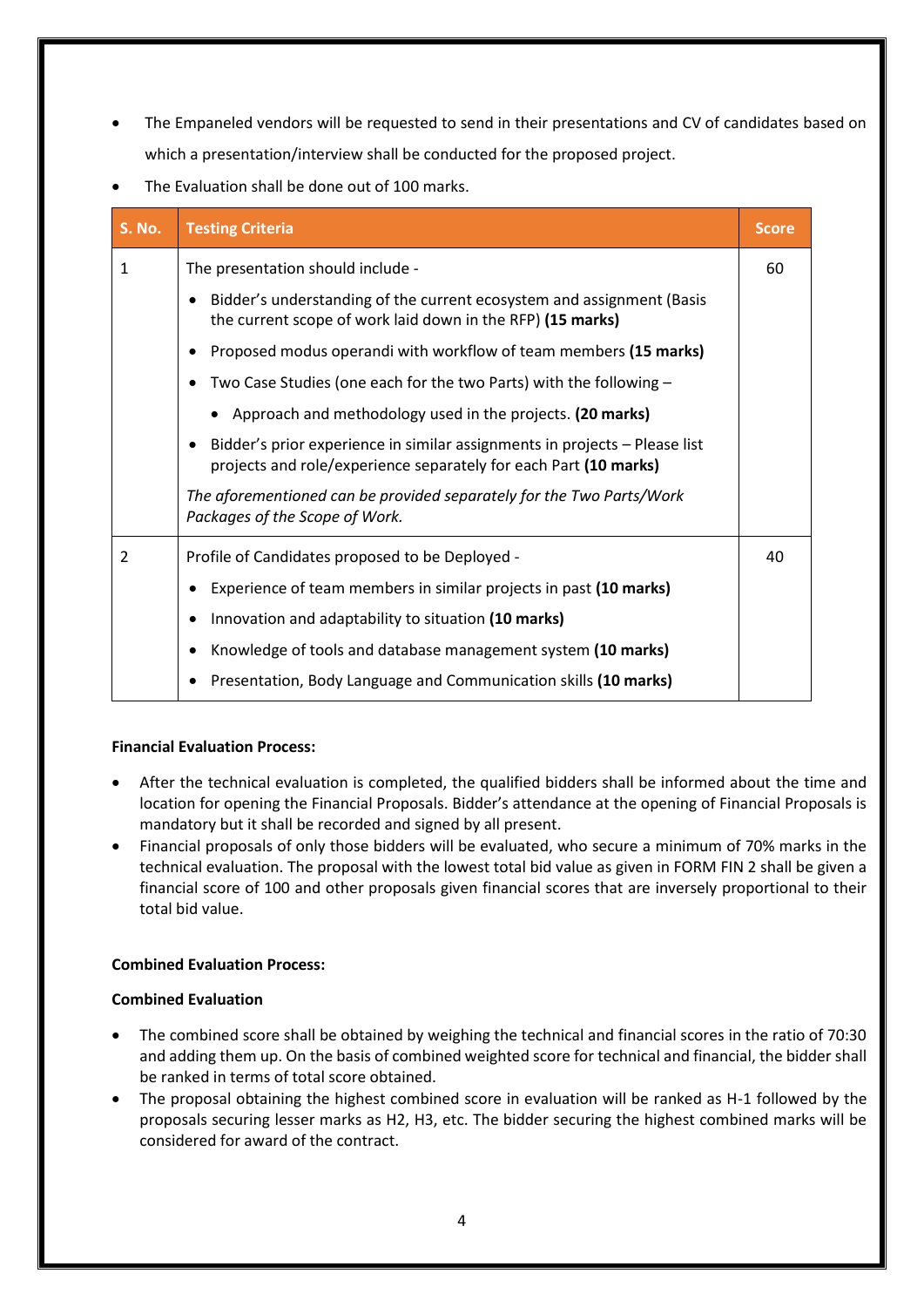- The Empaneled vendors will be requested to send in their presentations and CV of candidates based on which a presentation/interview shall be conducted for the proposed project.
- The Evaluation shall be done out of 100 marks.

| <b>S. No.</b>  | <b>Testing Criteria</b>                                                                                                                                     | <b>Score</b> |
|----------------|-------------------------------------------------------------------------------------------------------------------------------------------------------------|--------------|
| $\mathbf{1}$   | The presentation should include -                                                                                                                           |              |
|                | Bidder's understanding of the current ecosystem and assignment (Basis<br>$\bullet$<br>the current scope of work laid down in the RFP) (15 marks)            |              |
|                | Proposed modus operandi with workflow of team members (15 marks)                                                                                            |              |
|                | Two Case Studies (one each for the two Parts) with the following -                                                                                          |              |
|                | • Approach and methodology used in the projects. (20 marks)                                                                                                 |              |
|                | Bidder's prior experience in similar assignments in projects - Please list<br>$\bullet$<br>projects and role/experience separately for each Part (10 marks) |              |
|                | The aforementioned can be provided separately for the Two Parts/Work<br>Packages of the Scope of Work.                                                      |              |
| $\overline{2}$ | Profile of Candidates proposed to be Deployed -                                                                                                             | 40           |
|                | Experience of team members in similar projects in past (10 marks)                                                                                           |              |
|                | Innovation and adaptability to situation (10 marks)<br>٠                                                                                                    |              |
|                | Knowledge of tools and database management system (10 marks)                                                                                                |              |
|                | Presentation, Body Language and Communication skills (10 marks)                                                                                             |              |

## **Financial Evaluation Process:**

- After the technical evaluation is completed, the qualified bidders shall be informed about the time and location for opening the Financial Proposals. Bidder's attendance at the opening of Financial Proposals is mandatory but it shall be recorded and signed by all present.
- Financial proposals of only those bidders will be evaluated, who secure a minimum of 70% marks in the technical evaluation. The proposal with the lowest total bid value as given in FORM FIN 2 shall be given a financial score of 100 and other proposals given financial scores that are inversely proportional to their total bid value.

## **Combined Evaluation Process:**

## **Combined Evaluation**

- The combined score shall be obtained by weighing the technical and financial scores in the ratio of 70:30 and adding them up. On the basis of combined weighted score for technical and financial, the bidder shall be ranked in terms of total score obtained.
- The proposal obtaining the highest combined score in evaluation will be ranked as H-1 followed by the proposals securing lesser marks as H2, H3, etc. The bidder securing the highest combined marks will be considered for award of the contract.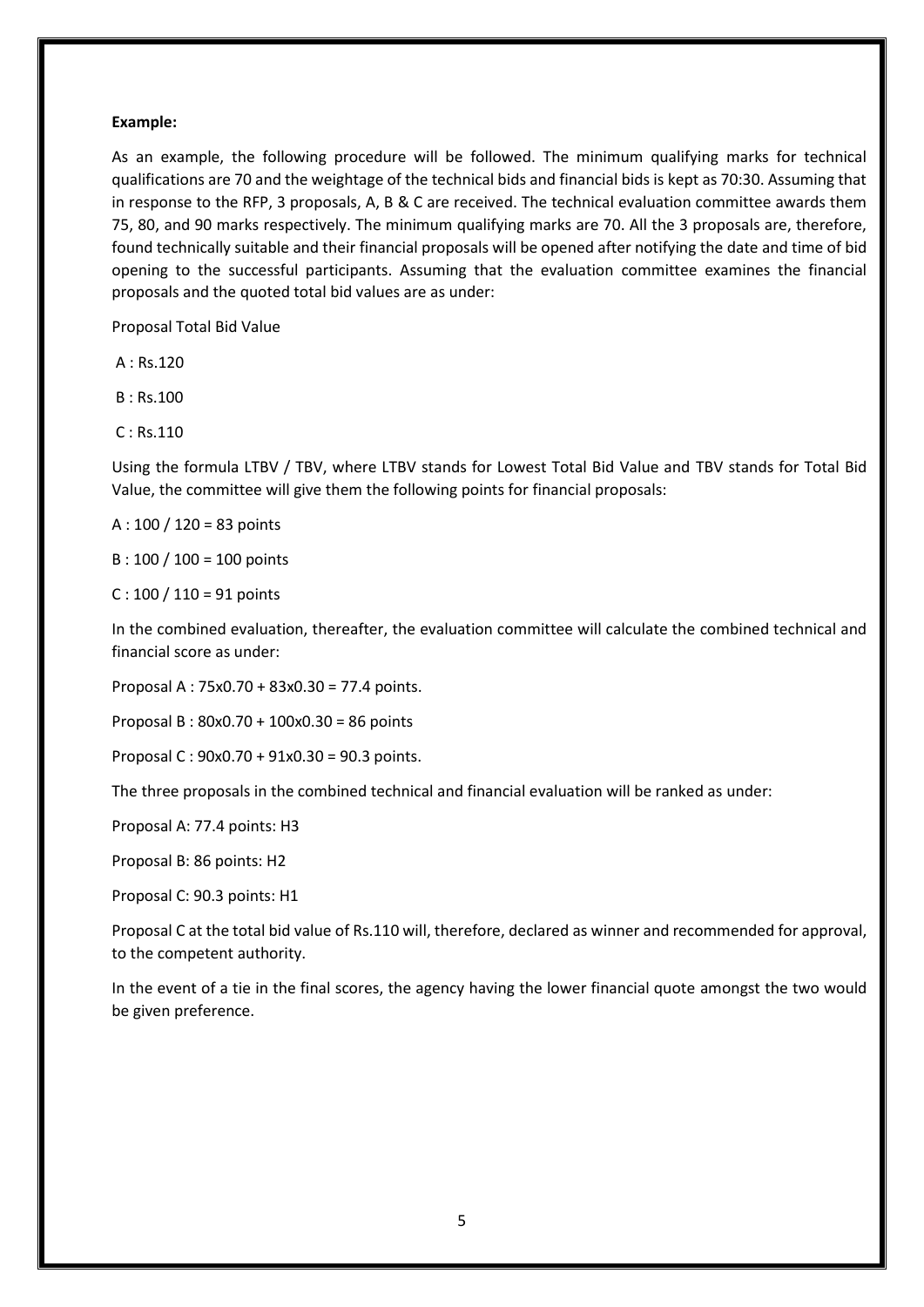#### **Example:**

As an example, the following procedure will be followed. The minimum qualifying marks for technical qualifications are 70 and the weightage of the technical bids and financial bids is kept as 70:30. Assuming that in response to the RFP, 3 proposals, A, B & C are received. The technical evaluation committee awards them 75, 80, and 90 marks respectively. The minimum qualifying marks are 70. All the 3 proposals are, therefore, found technically suitable and their financial proposals will be opened after notifying the date and time of bid opening to the successful participants. Assuming that the evaluation committee examines the financial proposals and the quoted total bid values are as under:

Proposal Total Bid Value

A : Rs.120

B : Rs.100

C : Rs.110

Using the formula LTBV / TBV, where LTBV stands for Lowest Total Bid Value and TBV stands for Total Bid Value, the committee will give them the following points for financial proposals:

A : 100 / 120 = 83 points

B : 100 / 100 = 100 points

 $C: 100 / 110 = 91$  points

In the combined evaluation, thereafter, the evaluation committee will calculate the combined technical and financial score as under:

Proposal A : 75x0.70 + 83x0.30 = 77.4 points.

Proposal B : 80x0.70 + 100x0.30 = 86 points

Proposal C : 90x0.70 + 91x0.30 = 90.3 points.

The three proposals in the combined technical and financial evaluation will be ranked as under:

Proposal A: 77.4 points: H3

Proposal B: 86 points: H2

Proposal C: 90.3 points: H1

Proposal C at the total bid value of Rs.110 will, therefore, declared as winner and recommended for approval, to the competent authority.

In the event of a tie in the final scores, the agency having the lower financial quote amongst the two would be given preference.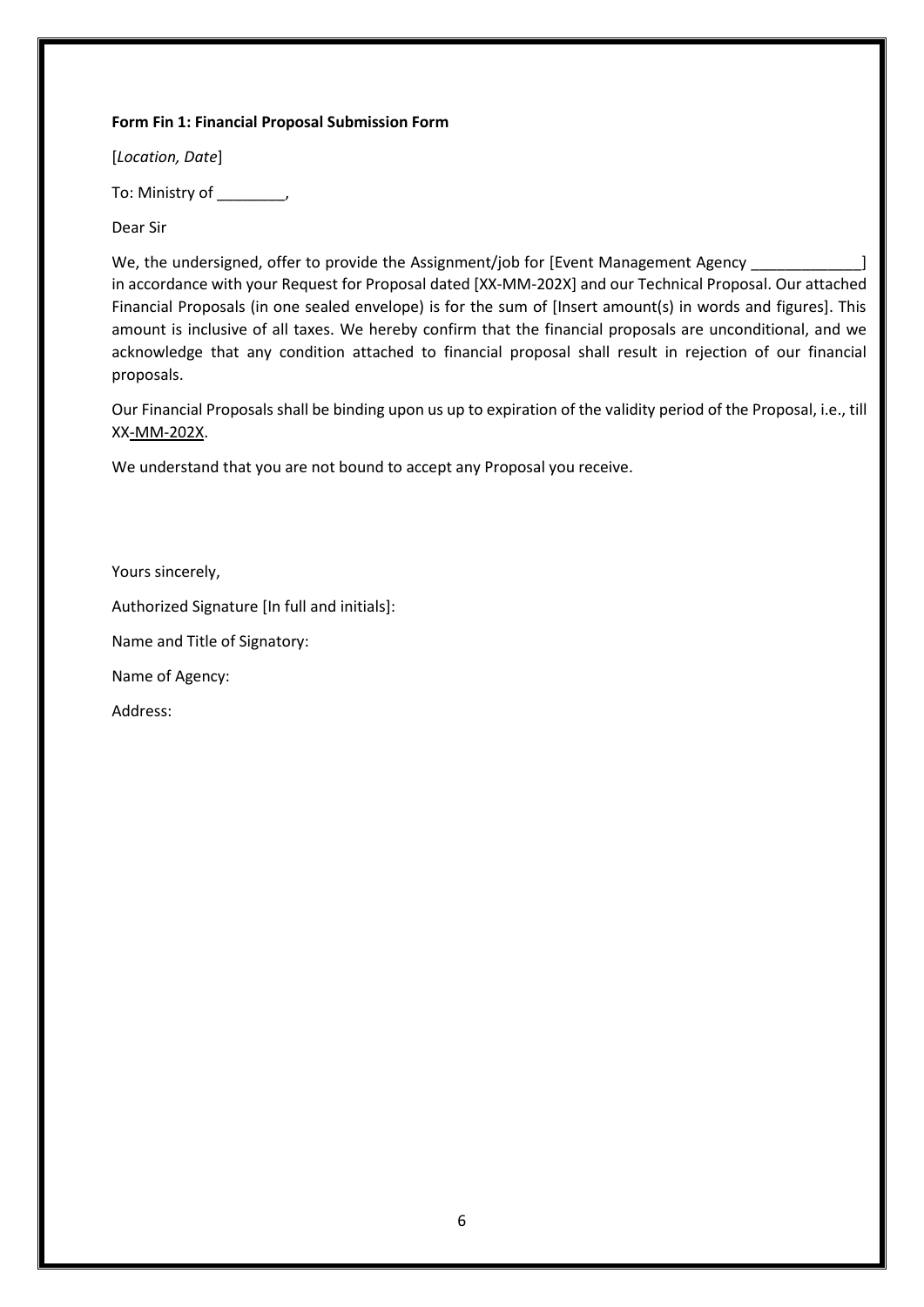## **Form Fin 1: Financial Proposal Submission Form**

[*Location, Date*]

To: Ministry of \_\_\_\_\_\_\_\_,

Dear Sir

We, the undersigned, offer to provide the Assignment/job for [Event Management Agency \_ in accordance with your Request for Proposal dated [XX-MM-202X] and our Technical Proposal. Our attached Financial Proposals (in one sealed envelope) is for the sum of [Insert amount(s) in words and figures]. This amount is inclusive of all taxes. We hereby confirm that the financial proposals are unconditional, and we acknowledge that any condition attached to financial proposal shall result in rejection of our financial proposals.

Our Financial Proposals shall be binding upon us up to expiration of the validity period of the Proposal, i.e., till XX-MM-202X.

We understand that you are not bound to accept any Proposal you receive.

Yours sincerely,

Authorized Signature [In full and initials]:

Name and Title of Signatory:

Name of Agency:

Address: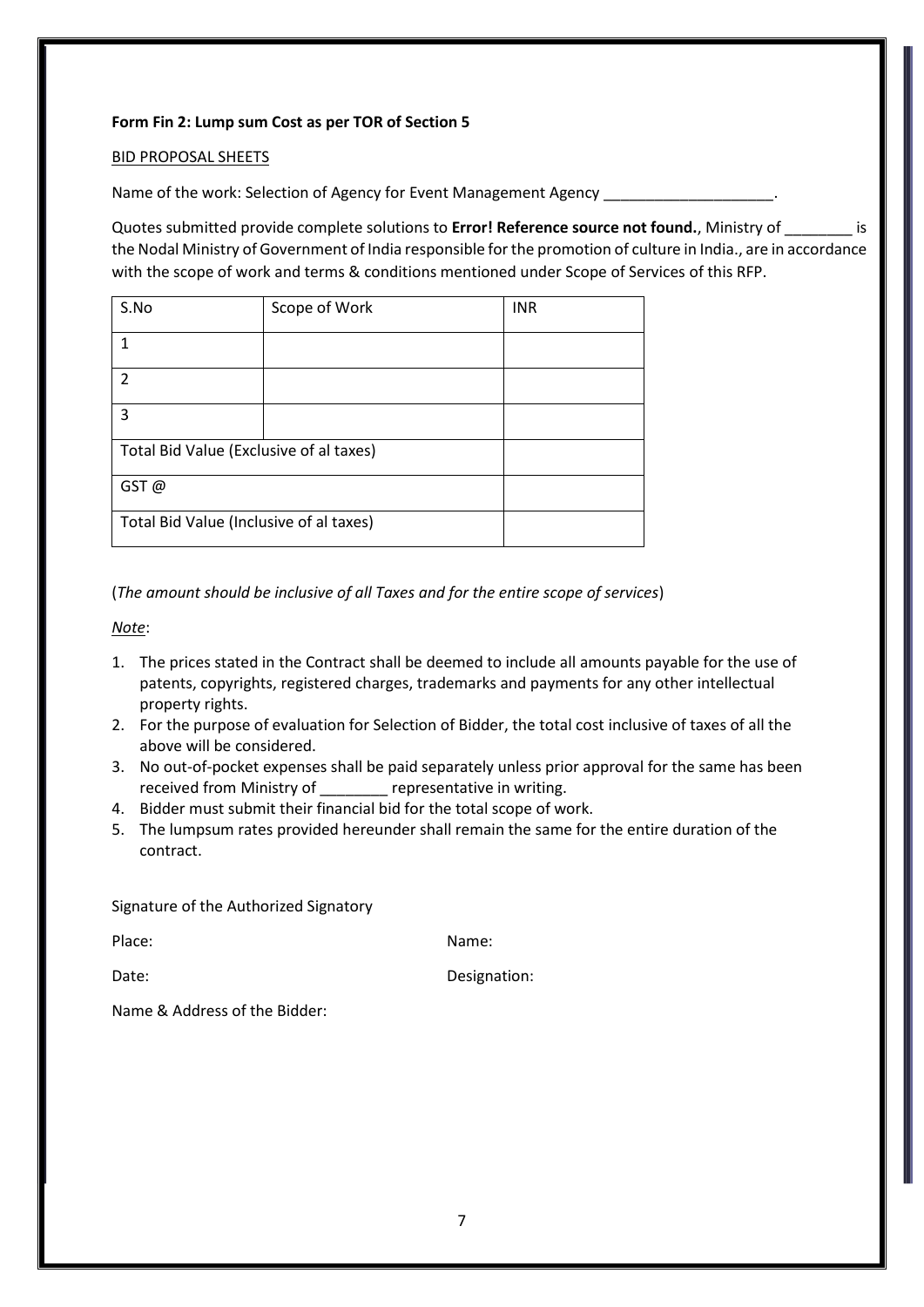## **Form Fin 2: Lump sum Cost as per TOR of Section 5**

### BID PROPOSAL SHEETS

Name of the work: Selection of Agency for Event Management Agency \_

Quotes submitted provide complete solutions to **Error! Reference source not found.**, Ministry of \_\_\_\_\_\_\_\_ is the Nodal Ministry of Government of India responsible for the promotion of culture in India., are in accordance with the scope of work and terms & conditions mentioned under Scope of Services of this RFP.

| S.No                                    | Scope of Work | <b>INR</b> |
|-----------------------------------------|---------------|------------|
|                                         |               |            |
| $\mathcal{P}$                           |               |            |
| 3                                       |               |            |
| Total Bid Value (Exclusive of al taxes) |               |            |
| GST@                                    |               |            |
| Total Bid Value (Inclusive of al taxes) |               |            |

(*The amount should be inclusive of all Taxes and for the entire scope of services*)

## *Note*:

- 1. The prices stated in the Contract shall be deemed to include all amounts payable for the use of patents, copyrights, registered charges, trademarks and payments for any other intellectual property rights.
- 2. For the purpose of evaluation for Selection of Bidder, the total cost inclusive of taxes of all the above will be considered.
- 3. No out-of-pocket expenses shall be paid separately unless prior approval for the same has been received from Ministry of representative in writing.
- 4. Bidder must submit their financial bid for the total scope of work.
- 5. The lumpsum rates provided hereunder shall remain the same for the entire duration of the contract.

Signature of the Authorized Signatory

Place: Name: Name: Name: Name: Name: Name: Name: Name: Name: Name: Name: Name: Name: Name: Name: Name: Name: Name:  $\mathbb{N}$ 

Date: Date: Designation:

Name & Address of the Bidder: